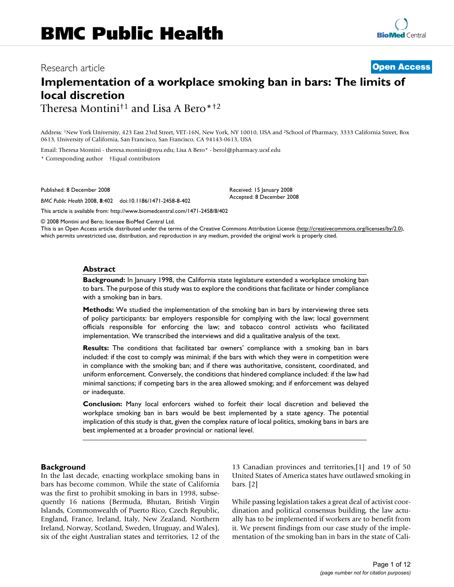## Research article **[Open Access](http://www.biomedcentral.com/info/about/charter/)**

# **Implementation of a workplace smoking ban in bars: The limits of local discretion**

Theresa Montini†1 and Lisa A Bero\*†2

Address: 1New York University, 423 East 23rd Street, VET-16N, New York, NY 10010, USA and 2School of Pharmacy, 3333 California Street, Box 0613, University of California, San Francisco, San Francisco, CA 94143-0613, USA

Email: Theresa Montini - theresa.montini@nyu.edu; Lisa A Bero\* - berol@pharmacy.ucsf.edu

\* Corresponding author †Equal contributors

Published: 8 December 2008

*BMC Public Health* 2008, **8**:402 doi:10.1186/1471-2458-8-402

Received: 15 January 2008 Accepted: 8 December 2008

[This article is available from: http://www.biomedcentral.com/1471-2458/8/402](http://www.biomedcentral.com/1471-2458/8/402)

© 2008 Montini and Bero; licensee BioMed Central Ltd.

This is an Open Access article distributed under the terms of the Creative Commons Attribution License [\(http://creativecommons.org/licenses/by/2.0\)](http://creativecommons.org/licenses/by/2.0), which permits unrestricted use, distribution, and reproduction in any medium, provided the original work is properly cited.

#### **Abstract**

**Background:** In January 1998, the California state legislature extended a workplace smoking ban to bars. The purpose of this study was to explore the conditions that facilitate or hinder compliance with a smoking ban in bars.

**Methods:** We studied the implementation of the smoking ban in bars by interviewing three sets of policy participants: bar employers responsible for complying with the law; local government officials responsible for enforcing the law; and tobacco control activists who facilitated implementation. We transcribed the interviews and did a qualitative analysis of the text.

**Results:** The conditions that facilitated bar owners' compliance with a smoking ban in bars included: if the cost to comply was minimal; if the bars with which they were in competition were in compliance with the smoking ban; and if there was authoritative, consistent, coordinated, and uniform enforcement. Conversely, the conditions that hindered compliance included: if the law had minimal sanctions; if competing bars in the area allowed smoking; and if enforcement was delayed or inadequate.

**Conclusion:** Many local enforcers wished to forfeit their local discretion and believed the workplace smoking ban in bars would be best implemented by a state agency. The potential implication of this study is that, given the complex nature of local politics, smoking bans in bars are best implemented at a broader provincial or national level.

#### **Background**

In the last decade, enacting workplace smoking bans in bars has become common. While the state of California was the first to prohibit smoking in bars in 1998, subsequently 16 nations (Bermuda, Bhutan, British Virgin Islands, Commonwealth of Puerto Rico, Czech Republic, England, France, Ireland, Italy, New Zealand, Northern Ireland, Norway, Scotland, Sweden, Uruguay, and Wales), six of the eight Australian states and territories, 12 of the

13 Canadian provinces and territories,[1] and 19 of 50 United States of America states have outlawed smoking in bars. [2]

While passing legislation takes a great deal of activist coordination and political consensus building, the law actually has to be implemented if workers are to benefit from it. We present findings from our case study of the implementation of the smoking ban in bars in the state of Cali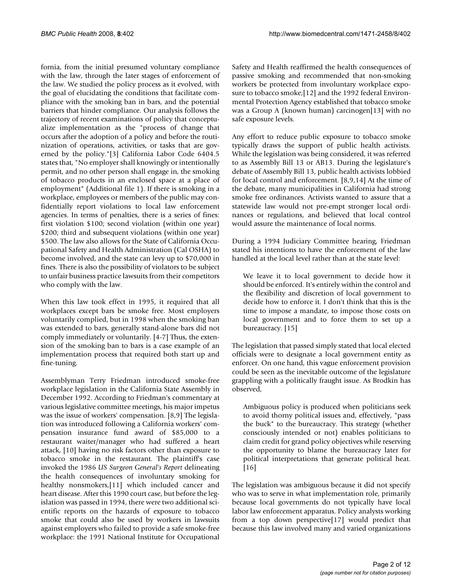fornia, from the initial presumed voluntary compliance with the law, through the later stages of enforcement of the law. We studied the policy process as it evolved, with the goal of elucidating the conditions that facilitate compliance with the smoking ban in bars, and the potential barriers that hinder compliance. Our analysis follows the trajectory of recent examinations of policy that conceptualize implementation as the "process of change that occurs after the adoption of a policy and before the routinization of operations, activities, or tasks that are governed by the policy."[3] California Labor Code 6404.5 states that, "No employer shall knowingly or intentionally permit, and no other person shall engage in, the smoking of tobacco products in an enclosed space at a place of employment" (Additional file 1). If there is smoking in a workplace, employees or members of the public may confidentially report violations to local law enforcement agencies. In terms of penalties, there is a series of fines: first violation \$100; second violation (within one year) \$200; third and subsequent violations (within one year) \$500. The law also allows for the State of California Occupational Safety and Health Administration (Cal OSHA) to become involved, and the state can levy up to \$70,000 in fines. There is also the possibility of violators to be subject to unfair business practice lawsuits from their competitors who comply with the law.

When this law took effect in 1995, it required that all workplaces except bars be smoke free. Most employers voluntarily complied, but in 1998 when the smoking ban was extended to bars, generally stand-alone bars did not comply immediately or voluntarily. [4-7] Thus, the extension of the smoking ban to bars is a case example of an implementation process that required both start up and fine-tuning.

Assemblyman Terry Friedman introduced smoke-free workplace legislation in the California State Assembly in December 1992. According to Friedman's commentary at various legislative committee meetings, his major impetus was the issue of workers' compensation. [8,9] The legislation was introduced following a California workers' compensation insurance fund award of \$85,000 to a restaurant waiter/manager who had suffered a heart attack, [10] having no risk factors other than exposure to tobacco smoke in the restaurant. The plaintiff's case invoked the 1986 *US Surgeon General's Report* delineating the health consequences of involuntary smoking for healthy nonsmokers,[11] which included cancer and heart disease. After this 1990 court case, but before the legislation was passed in 1994, there were two additional scientific reports on the hazards of exposure to tobacco smoke that could also be used by workers in lawsuits against employers who failed to provide a safe smoke-free workplace: the 1991 National Institute for Occupational

Safety and Health reaffirmed the health consequences of passive smoking and recommended that non-smoking workers be protected from involuntary workplace exposure to tobacco smoke;[12] and the 1992 federal Environmental Protection Agency established that tobacco smoke was a Group A (known human) carcinogen[13] with no safe exposure levels.

Any effort to reduce public exposure to tobacco smoke typically draws the support of public health activists. While the legislation was being considered, it was referred to as Assembly Bill 13 or AB13. During the legislature's debate of Assembly Bill 13, public health activists lobbied for local control and enforcement. [8,9,14] At the time of the debate, many municipalities in California had strong smoke free ordinances. Activists wanted to assure that a statewide law would not pre-empt stronger local ordinances or regulations, and believed that local control would assure the maintenance of local norms.

During a 1994 Judiciary Committee hearing, Friedman stated his intentions to have the enforcement of the law handled at the local level rather than at the state level:

We leave it to local government to decide how it should be enforced. It's entirely within the control and the flexibility and discretion of local government to decide how to enforce it. I don't think that this is the time to impose a mandate, to impose those costs on local government and to force them to set up a bureaucracy. [15]

The legislation that passed simply stated that local elected officials were to designate a local government entity as enforcer. On one hand, this vague enforcement provision could be seen as the inevitable outcome of the legislature grappling with a politically fraught issue. As Brodkin has observed,

Ambiguous policy is produced when politicians seek to avoid thorny political issues and, effectively, "pass the buck" to the bureaucracy. This strategy (whether consciously intended or not) enables politicians to claim credit for grand policy objectives while reserving the opportunity to blame the bureaucracy later for political interpretations that generate political heat. [16]

The legislation was ambiguous because it did not specify who was to serve in what implementation role, primarily because local governments do not typically have local labor law enforcement apparatus. Policy analysts working from a top down perspective[17] would predict that because this law involved many and varied organizations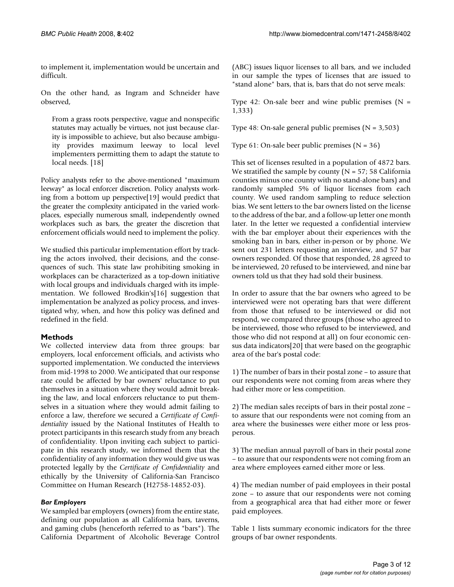to implement it, implementation would be uncertain and difficult.

On the other hand, as Ingram and Schneider have observed,

From a grass roots perspective, vague and nonspecific statutes may actually be virtues, not just because clarity is impossible to achieve, but also because ambiguity provides maximum leeway to local level implementers permitting them to adapt the statute to local needs. [18]

Policy analysts refer to the above-mentioned "maximum leeway" as local enforcer discretion. Policy analysts working from a bottom up perspective[19] would predict that the greater the complexity anticipated in the varied workplaces, especially numerous small, independently owned workplaces such as bars, the greater the discretion that enforcement officials would need to implement the policy.

We studied this particular implementation effort by tracking the actors involved, their decisions, and the consequences of such. This state law prohibiting smoking in workplaces can be characterized as a top-down initiative with local groups and individuals charged with its implementation. We followed Brodkin's[16] suggestion that implementation be analyzed as policy process, and investigated why, when, and how this policy was defined and redefined in the field.

## **Methods**

We collected interview data from three groups: bar employers, local enforcement officials, and activists who supported implementation. We conducted the interviews from mid-1998 to 2000. We anticipated that our response rate could be affected by bar owners' reluctance to put themselves in a situation where they would admit breaking the law, and local enforcers reluctance to put themselves in a situation where they would admit failing to enforce a law, therefore we secured a *Certificate of Confidentiality* issued by the National Institutes of Health to protect participants in this research study from any breach of confidentiality. Upon inviting each subject to participate in this research study, we informed them that the confidentiality of any information they would give us was protected legally by the *Certificate of Confidentiality* and ethically by the University of California-San Francisco Committee on Human Research (H2758-14852-03).

## *Bar Employers*

We sampled bar employers (owners) from the entire state, defining our population as all California bars, taverns, and gaming clubs (henceforth referred to as "bars"). The California Department of Alcoholic Beverage Control

(ABC) issues liquor licenses to all bars, and we included in our sample the types of licenses that are issued to "stand alone" bars, that is, bars that do not serve meals:

Type 42: On-sale beer and wine public premises  $(N =$ 1,333)

Type 48: On-sale general public premises  $(N = 3,503)$ 

Type 61: On-sale beer public premises  $(N = 36)$ 

This set of licenses resulted in a population of 4872 bars. We stratified the sample by county ( $N = 57$ ; 58 California counties minus one county with no stand-alone bars) and randomly sampled 5% of liquor licenses from each county. We used random sampling to reduce selection bias. We sent letters to the bar owners listed on the license to the address of the bar, and a follow-up letter one month later. In the letter we requested a confidential interview with the bar employer about their experiences with the smoking ban in bars, either in-person or by phone. We sent out 231 letters requesting an interview, and 57 bar owners responded. Of those that responded, 28 agreed to be interviewed, 20 refused to be interviewed, and nine bar owners told us that they had sold their business.

In order to assure that the bar owners who agreed to be interviewed were not operating bars that were different from those that refused to be interviewed or did not respond, we compared three groups (those who agreed to be interviewed, those who refused to be interviewed, and those who did not respond at all) on four economic census data indicators[20] that were based on the geographic area of the bar's postal code:

1) The number of bars in their postal zone – to assure that our respondents were not coming from areas where they had either more or less competition.

2) The median sales receipts of bars in their postal zone – to assure that our respondents were not coming from an area where the businesses were either more or less prosperous.

3) The median annual payroll of bars in their postal zone – to assure that our respondents were not coming from an area where employees earned either more or less.

4) The median number of paid employees in their postal zone – to assure that our respondents were not coming from a geographical area that had either more or fewer paid employees.

Table 1 lists summary economic indicators for the three groups of bar owner respondents.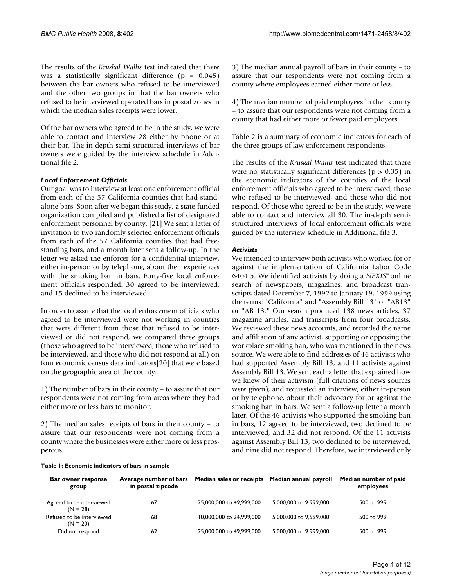The results of the *Kruskal Wallis* test indicated that there was a statistically significant difference ( $p = 0.045$ ) between the bar owners who refused to be interviewed and the other two groups in that the bar owners who refused to be interviewed operated bars in postal zones in which the median sales receipts were lower.

Of the bar owners who agreed to be in the study, we were able to contact and interview 28 either by phone or at their bar. The in-depth semi-structured interviews of bar owners were guided by the interview schedule in Additional file 2.

## *Local Enforcement Officials*

Our goal was to interview at least one enforcement official from each of the 57 California counties that had standalone bars. Soon after we began this study, a state-funded organization compiled and published a list of designated enforcement personnel by county. [21] We sent a letter of invitation to two randomly selected enforcement officials from each of the 57 California counties that had freestanding bars, and a month later sent a follow-up. In the letter we asked the enforcer for a confidential interview, either in-person or by telephone, about their experiences with the smoking ban in bars. Forty-five local enforcement officials responded: 30 agreed to be interviewed, and 15 declined to be interviewed.

In order to assure that the local enforcement officials who agreed to be interviewed were not working in counties that were different from those that refused to be interviewed or did not respond, we compared three groups (those who agreed to be interviewed, those who refused to be interviewed, and those who did not respond at all) on four economic census data indicators[20] that were based on the geographic area of the county:

1) The number of bars in their county – to assure that our respondents were not coming from areas where they had either more or less bars to monitor.

2) The median sales receipts of bars in their county – to assure that our respondents were not coming from a county where the businesses were either more or less prosperous.

3) The median annual payroll of bars in their county – to assure that our respondents were not coming from a county where employees earned either more or less.

4) The median number of paid employees in their county – to assure that our respondents were not coming from a county that had either more or fewer paid employees.

Table 2 is a summary of economic indicators for each of the three groups of law enforcement respondents.

The results of the *Kruskal Wallis* test indicated that there were no statistically significant differences ( $p > 0.35$ ) in the economic indicators of the counties of the local enforcement officials who agreed to be interviewed, those who refused to be interviewed, and those who did not respond. Of those who agreed to be in the study, we were able to contact and interview all 30. The in-depth semistructured interviews of local enforcement officials were guided by the interview schedule in Additional file 3.

## *Activists*

We intended to interview both activists who worked for or against the implementation of California Labor Code 6404.5. We identified activists by doing a *NEXIS*® online search of newspapers, magazines, and broadcast transcripts dated December 7, 1992 to January 19, 1999 using the terms: "California" and "Assembly Bill 13" or "AB13" or "AB 13." Our search produced 138 news articles, 37 magazine articles, and transcripts from four broadcasts. We reviewed these news accounts, and recorded the name and affiliation of any activist, supporting or opposing the workplace smoking ban, who was mentioned in the news source. We were able to find addresses of 46 activists who had supported Assembly Bill 13, and 11 activists against Assembly Bill 13. We sent each a letter that explained how we knew of their activism (full citations of news sources were given), and requested an interview, either in-person or by telephone, about their advocacy for or against the smoking ban in bars. We sent a follow-up letter a month later. Of the 46 activists who supported the smoking ban in bars, 12 agreed to be interviewed, two declined to be interviewed, and 32 did not respond. Of the 11 activists against Assembly Bill 13, two declined to be interviewed, and nine did not respond. Therefore, we interviewed only

| Bar owner response<br>group             | Average number of bars<br>in postal zipcode | Median sales or receipts Median annual payroll |                        | Median number of paid<br>employees |
|-----------------------------------------|---------------------------------------------|------------------------------------------------|------------------------|------------------------------------|
| Agreed to be interviewed<br>$(N = 28)$  | 67                                          | 25,000,000 to 49,999,000                       | 5,000,000 to 9,999,000 | 500 to 999                         |
| Refused to be interviewed<br>$(N = 20)$ | 68                                          | 10,000,000 to 24,999,000                       | 5,000,000 to 9,999,000 | 500 to 999                         |
| Did not respond                         | 62                                          | 25,000,000 to 49,999,000                       | 5,000,000 to 9,999,000 | 500 to 999                         |

**Table 1: Economic indicators of bars in sample**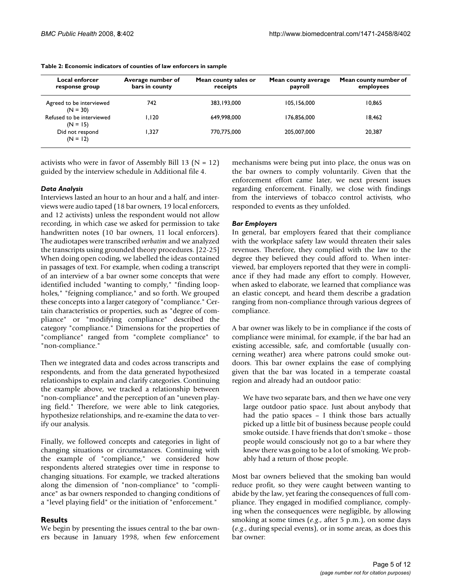| Local enforcer<br>response group        | Average number of<br>bars in county | Mean county sales or<br>receipts | Mean county average<br>payroll | Mean county number of<br>employees |
|-----------------------------------------|-------------------------------------|----------------------------------|--------------------------------|------------------------------------|
| Agreed to be interviewed<br>$(N = 30)$  | 742                                 | 383.193.000                      | 105,156,000                    | 10.865                             |
| Refused to be interviewed<br>$(N = 15)$ | 1.120                               | 649,998,000                      | 176,856,000                    | 18.462                             |
| Did not respond<br>$(N = 12)$           | 1.327                               | 770.775.000                      | 205,007,000                    | 20,387                             |

**Table 2: Economic indicators of counties of law enforcers in sample**

activists who were in favor of Assembly Bill 13 ( $N = 12$ ) guided by the interview schedule in Additional file 4.

## *Data Analysis*

Interviews lasted an hour to an hour and a half, and interviews were audio taped (18 bar owners, 19 local enforcers, and 12 activists) unless the respondent would not allow recording, in which case we asked for permission to take handwritten notes (10 bar owners, 11 local enforcers). The audiotapes were transcribed *verbatim* and we analyzed the transcripts using grounded theory procedures. [22-25] When doing open coding, we labelled the ideas contained in passages of text. For example, when coding a transcript of an interview of a bar owner some concepts that were identified included "wanting to comply," "finding loopholes," "feigning compliance," and so forth. We grouped these concepts into a larger category of "compliance." Certain characteristics or properties, such as "degree of compliance" or "modifying compliance" described the category "compliance." Dimensions for the properties of "compliance" ranged from "complete compliance" to "non-compliance."

Then we integrated data and codes across transcripts and respondents, and from the data generated hypothesized relationships to explain and clarify categories. Continuing the example above, we tracked a relationship between "non-compliance" and the perception of an "uneven playing field." Therefore, we were able to link categories, hypothesize relationships, and re-examine the data to verify our analysis.

Finally, we followed concepts and categories in light of changing situations or circumstances. Continuing with the example of "compliance," we considered how respondents altered strategies over time in response to changing situations. For example, we tracked alterations along the dimension of "non-compliance" to "compliance" as bar owners responded to changing conditions of a "level playing field" or the initiation of "enforcement."

## **Results**

We begin by presenting the issues central to the bar owners because in January 1998, when few enforcement mechanisms were being put into place, the onus was on the bar owners to comply voluntarily. Given that the enforcement effort came later, we next present issues regarding enforcement. Finally, we close with findings from the interviews of tobacco control activists, who responded to events as they unfolded.

## *Bar Employers*

In general, bar employers feared that their compliance with the workplace safety law would threaten their sales revenues. Therefore, they complied with the law to the degree they believed they could afford to. When interviewed, bar employers reported that they were in compliance if they had made any effort to comply. However, when asked to elaborate, we learned that compliance was an elastic concept, and heard them describe a gradation ranging from non-compliance through various degrees of compliance.

A bar owner was likely to be in compliance if the costs of compliance were minimal, for example, if the bar had an existing accessible, safe, and comfortable (usually concerning weather) area where patrons could smoke outdoors. This bar owner explains the ease of complying given that the bar was located in a temperate coastal region and already had an outdoor patio:

We have two separate bars, and then we have one very large outdoor patio space. Just about anybody that had the patio spaces – I think those bars actually picked up a little bit of business because people could smoke outside. I have friends that don't smoke – those people would consciously not go to a bar where they knew there was going to be a lot of smoking. We probably had a return of those people.

Most bar owners believed that the smoking ban would reduce profit, so they were caught between wanting to abide by the law, yet fearing the consequences of full compliance. They engaged in modified compliance, complying when the consequences were negligible, by allowing smoking at some times (*e.g*., after 5 p.m.), on some days (*e.g*., during special events), or in some areas, as does this bar owner: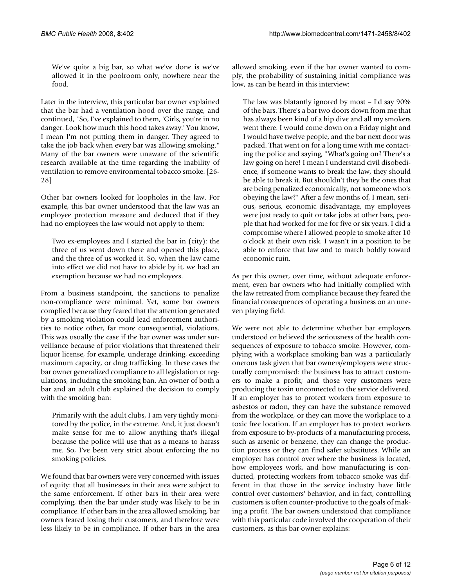We've quite a big bar, so what we've done is we've allowed it in the poolroom only, nowhere near the food.

Later in the interview, this particular bar owner explained that the bar had a ventilation hood over the range, and continued, "So, I've explained to them, 'Girls, you're in no danger. Look how much this hood takes away.' You know, I mean I'm not putting them in danger. They agreed to take the job back when every bar was allowing smoking." Many of the bar owners were unaware of the scientific research available at the time regarding the inability of ventilation to remove environmental tobacco smoke. [26- 28]

Other bar owners looked for loopholes in the law. For example, this bar owner understood that the law was an employee protection measure and deduced that if they had no employees the law would not apply to them:

Two ex-employees and I started the bar in (city): the three of us went down there and opened this place, and the three of us worked it. So, when the law came into effect we did not have to abide by it, we had an exemption because we had no employees.

From a business standpoint, the sanctions to penalize non-compliance were minimal. Yet, some bar owners complied because they feared that the attention generated by a smoking violation could lead enforcement authorities to notice other, far more consequential, violations. This was usually the case if the bar owner was under surveillance because of prior violations that threatened their liquor license, for example, underage drinking, exceeding maximum capacity, or drug trafficking. In these cases the bar owner generalized compliance to all legislation or regulations, including the smoking ban. An owner of both a bar and an adult club explained the decision to comply with the smoking ban:

Primarily with the adult clubs, I am very tightly monitored by the police, in the extreme. And, it just doesn't make sense for me to allow anything that's illegal because the police will use that as a means to harass me. So, I've been very strict about enforcing the no smoking policies.

We found that bar owners were very concerned with issues of equity: that all businesses in their area were subject to the same enforcement. If other bars in their area were complying, then the bar under study was likely to be in compliance. If other bars in the area allowed smoking, bar owners feared losing their customers, and therefore were less likely to be in compliance. If other bars in the area allowed smoking, even if the bar owner wanted to comply, the probability of sustaining initial compliance was low, as can be heard in this interview:

The law was blatantly ignored by most – I'd say 90% of the bars. There's a bar two doors down from me that has always been kind of a hip dive and all my smokers went there. I would come down on a Friday night and I would have twelve people, and the bar next door was packed. That went on for a long time with me contacting the police and saying, "What's going on? There's a law going on here! I mean I understand civil disobedience, if someone wants to break the law, they should be able to break it. But shouldn't they be the ones that are being penalized economically, not someone who's obeying the law?" After a few months of, I mean, serious, serious, economic disadvantage, my employees were just ready to quit or take jobs at other bars, people that had worked for me for five or six years. I did a compromise where I allowed people to smoke after 10 o'clock at their own risk. I wasn't in a position to be able to enforce that law and to march boldly toward economic ruin.

As per this owner, over time, without adequate enforcement, even bar owners who had initially complied with the law retreated from compliance because they feared the financial consequences of operating a business on an uneven playing field.

We were not able to determine whether bar employers understood or believed the seriousness of the health consequences of exposure to tobacco smoke. However, complying with a workplace smoking ban was a particularly onerous task given that bar owners/employers were structurally compromised: the business has to attract customers to make a profit; and those very customers were producing the toxin unconnected to the service delivered. If an employer has to protect workers from exposure to asbestos or radon, they can have the substance removed from the workplace, or they can move the workplace to a toxic free location. If an employer has to protect workers from exposure to by-products of a manufacturing process, such as arsenic or benzene, they can change the production process or they can find safer substitutes. While an employer has control over where the business is located, how employees work, and how manufacturing is conducted, protecting workers from tobacco smoke was different in that those in the service industry have little control over customers' behavior, and in fact, controlling customers is often counter-productive to the goals of making a profit. The bar owners understood that compliance with this particular code involved the cooperation of their customers, as this bar owner explains: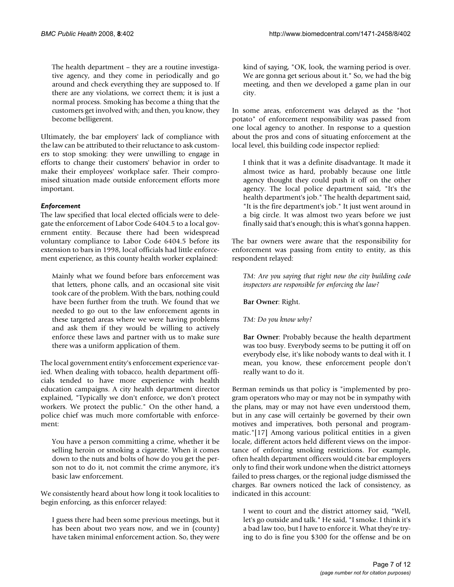The health department – they are a routine investigative agency, and they come in periodically and go around and check everything they are supposed to. If there are any violations, we correct them; it is just a normal process. Smoking has become a thing that the customers get involved with; and then, you know, they become belligerent.

Ultimately, the bar employers' lack of compliance with the law can be attributed to their reluctance to ask customers to stop smoking: they were unwilling to engage in efforts to change their customers' behavior in order to make their employees' workplace safer. Their compromised situation made outside enforcement efforts more important.

## *Enforcement*

The law specified that local elected officials were to delegate the enforcement of Labor Code 6404.5 to a local government entity. Because there had been widespread voluntary compliance to Labor Code 6404.5 before its extension to bars in 1998, local officials had little enforcement experience, as this county health worker explained:

Mainly what we found before bars enforcement was that letters, phone calls, and an occasional site visit took care of the problem. With the bars, nothing could have been further from the truth. We found that we needed to go out to the law enforcement agents in these targeted areas where we were having problems and ask them if they would be willing to actively enforce these laws and partner with us to make sure there was a uniform application of them.

The local government entity's enforcement experience varied. When dealing with tobacco, health department officials tended to have more experience with health education campaigns. A city health department director explained, "Typically we don't enforce, we don't protect workers. We protect the public." On the other hand, a police chief was much more comfortable with enforcement:

You have a person committing a crime, whether it be selling heroin or smoking a cigarette. When it comes down to the nuts and bolts of how do you get the person not to do it, not commit the crime anymore, it's basic law enforcement.

We consistently heard about how long it took localities to begin enforcing, as this enforcer relayed:

I guess there had been some previous meetings, but it has been about two years now, and we in (county) have taken minimal enforcement action. So, they were kind of saying, "OK, look, the warning period is over. We are gonna get serious about it." So, we had the big meeting, and then we developed a game plan in our city.

In some areas, enforcement was delayed as the "hot potato" of enforcement responsibility was passed from one local agency to another. In response to a question about the pros and cons of situating enforcement at the local level, this building code inspector replied:

I think that it was a definite disadvantage. It made it almost twice as hard, probably because one little agency thought they could push it off on the other agency. The local police department said, "It's the health department's job." The health department said, "It is the fire department's job." It just went around in a big circle. It was almost two years before we just finally said that's enough; this is what's gonna happen.

The bar owners were aware that the responsibility for enforcement was passing from entity to entity, as this respondent relayed:

*TM: Are you saying that right now the city building code inspectors are responsible for enforcing the law?*

**Bar Owner**: Right.

*TM: Do you know why?*

**Bar Owner**: Probably because the health department was too busy. Everybody seems to be putting it off on everybody else, it's like nobody wants to deal with it. I mean, you know, these enforcement people don't really want to do it.

Berman reminds us that policy is "implemented by program operators who may or may not be in sympathy with the plans, may or may not have even understood them, but in any case will certainly be governed by their own motives and imperatives, both personal and programmatic."[17] Among various political entities in a given locale, different actors held different views on the importance of enforcing smoking restrictions. For example, often health department officers would cite bar employers only to find their work undone when the district attorneys failed to press charges, or the regional judge dismissed the charges. Bar owners noticed the lack of consistency, as indicated in this account:

I went to court and the district attorney said, "Well, let's go outside and talk." He said, "I smoke. I think it's a bad law too, but I have to enforce it. What they're trying to do is fine you \$300 for the offense and be on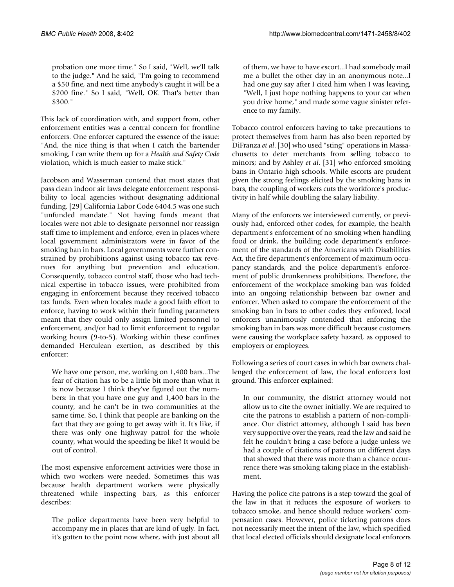probation one more time." So I said, "Well, we'll talk to the judge." And he said, "I'm going to recommend a \$50 fine, and next time anybody's caught it will be a \$200 fine." So I said, "Well, OK. That's better than \$300."

This lack of coordination with, and support from, other enforcement entities was a central concern for frontline enforcers. One enforcer captured the essence of the issue: "And, the nice thing is that when I catch the bartender smoking, I can write them up for a *Health and Safety Code* violation, which is much easier to make stick."

Jacobson and Wasserman contend that most states that pass clean indoor air laws delegate enforcement responsibility to local agencies without designating additional funding. [29] California Labor Code 6404.5 was one such "unfunded mandate." Not having funds meant that locales were not able to designate personnel nor reassign staff time to implement and enforce, even in places where local government administrators were in favor of the smoking ban in bars. Local governments were further constrained by prohibitions against using tobacco tax revenues for anything but prevention and education. Consequently, tobacco control staff, those who had technical expertise in tobacco issues, were prohibited from engaging in enforcement because they received tobacco tax funds. Even when locales made a good faith effort to enforce, having to work within their funding parameters meant that they could only assign limited personnel to enforcement, and/or had to limit enforcement to regular working hours (9-to-5). Working within these confines demanded Herculean exertion, as described by this enforcer:

We have one person, me, working on 1,400 bars...The fear of citation has to be a little bit more than what it is now because I think they've figured out the numbers: in that you have one guy and 1,400 bars in the county, and he can't be in two communities at the same time. So, I think that people are banking on the fact that they are going to get away with it. It's like, if there was only one highway patrol for the whole county, what would the speeding be like? It would be out of control.

The most expensive enforcement activities were those in which two workers were needed. Sometimes this was because health department workers were physically threatened while inspecting bars, as this enforcer describes:

The police departments have been very helpful to accompany me in places that are kind of ugly. In fact, it's gotten to the point now where, with just about all

of them, we have to have escort...I had somebody mail me a bullet the other day in an anonymous note...I had one guy say after I cited him when I was leaving, "Well, I just hope nothing happens to your car when you drive home," and made some vague sinister reference to my family.

Tobacco control enforcers having to take precautions to protect themselves from harm has also been reported by DiFranza *et al*. [30] who used "sting" operations in Massachusetts to deter merchants from selling tobacco to minors; and by Ashley *et al*. [31] who enforced smoking bans in Ontario high schools. While escorts are prudent given the strong feelings elicited by the smoking bans in bars, the coupling of workers cuts the workforce's productivity in half while doubling the salary liability.

Many of the enforcers we interviewed currently, or previously had, enforced other codes, for example, the health department's enforcement of no smoking when handling food or drink, the building code department's enforcement of the standards of the Americans with Disabilities Act, the fire department's enforcement of maximum occupancy standards, and the police department's enforcement of public drunkenness prohibitions. Therefore, the enforcement of the workplace smoking ban was folded into an ongoing relationship between bar owner and enforcer. When asked to compare the enforcement of the smoking ban in bars to other codes they enforced, local enforcers unanimously contended that enforcing the smoking ban in bars was more difficult because customers were causing the workplace safety hazard, as opposed to employers or employees.

Following a series of court cases in which bar owners challenged the enforcement of law, the local enforcers lost ground. This enforcer explained:

In our community, the district attorney would not allow us to cite the owner initially. We are required to cite the patrons to establish a pattern of non-compliance. Our district attorney, although I said has been very supportive over the years, read the law and said he felt he couldn't bring a case before a judge unless we had a couple of citations of patrons on different days that showed that there was more than a chance occurrence there was smoking taking place in the establishment.

Having the police cite patrons is a step toward the goal of the law in that it reduces the exposure of workers to tobacco smoke, and hence should reduce workers' compensation cases. However, police ticketing patrons does not necessarily meet the intent of the law, which specified that local elected officials should designate local enforcers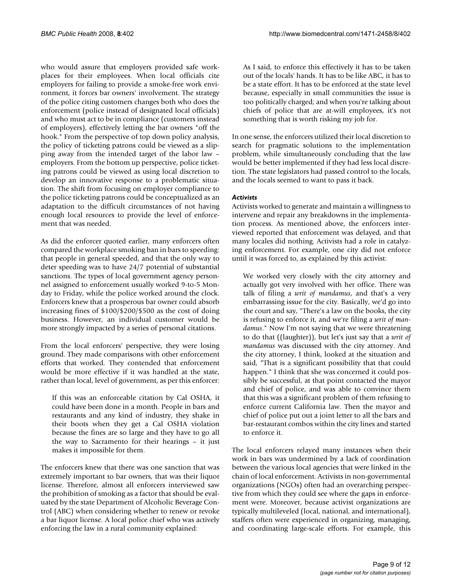who would assure that employers provided safe workplaces for their employees. When local officials cite employers for failing to provide a smoke-free work environment, it forces bar owners' involvement. The strategy of the police citing customers changes both who does the enforcement (police instead of designated local officials) and who must act to be in compliance (customers instead of employers), effectively letting the bar owners "off the hook." From the perspective of top down policy analysis, the policy of ticketing patrons could be viewed as a slipping away from the intended target of the labor law – employers. From the bottom up perspective, police ticketing patrons could be viewed as using local discretion to develop an innovative response to a problematic situation. The shift from focusing on employer compliance to the police ticketing patrons could be conceptualized as an adaptation to the difficult circumstances of not having enough local resources to provide the level of enforcement that was needed.

As did the enforcer quoted earlier, many enforcers often compared the workplace smoking ban in bars to speeding: that people in general speeded, and that the only way to deter speeding was to have 24/7 potential of substantial sanctions. The types of local government agency personnel assigned to enforcement usually worked 9-to-5 Monday to Friday, while the police worked around the clock. Enforcers knew that a prosperous bar owner could absorb increasing fines of \$100/\$200/\$500 as the cost of doing business. However, an individual customer would be more strongly impacted by a series of personal citations.

From the local enforcers' perspective, they were losing ground. They made comparisons with other enforcement efforts that worked. They contended that enforcement would be more effective if it was handled at the state, rather than local, level of government, as per this enforcer:

If this was an enforceable citation by Cal OSHA, it could have been done in a month. People in bars and restaurants and any kind of industry, they shake in their boots when they get a Cal OSHA violation because the fines are so large and they have to go all the way to Sacramento for their hearings – it just makes it impossible for them.

The enforcers knew that there was one sanction that was extremely important to bar owners, that was their liquor license. Therefore, almost all enforcers interviewed saw the prohibition of smoking as a factor that should be evaluated by the state Department of Alcoholic Beverage Control (ABC) when considering whether to renew or revoke a bar liquor license. A local police chief who was actively enforcing the law in a rural community explained:

As I said, to enforce this effectively it has to be taken out of the locals' hands. It has to be like ABC, it has to be a state effort. It has to be enforced at the state level because, especially in small communities the issue is too politically charged; and when you're talking about chiefs of police that are at-will employees, it's not something that is worth risking my job for.

In one sense, the enforcers utilized their local discretion to search for pragmatic solutions to the implementation problem, while simultaneously concluding that the law would be better implemented if they had less local discretion. The state legislators had passed control to the locals, and the locals seemed to want to pass it back.

## *Activists*

Activists worked to generate and maintain a willingness to intervene and repair any breakdowns in the implementation process. As mentioned above, the enforcers interviewed reported that enforcement was delayed, and that many locales did nothing. Activists had a role in catalyzing enforcement. For example, one city did not enforce until it was forced to, as explained by this activist:

We worked very closely with the city attorney and actually got very involved with her office. There was talk of filing a *writ of mandamus*, and that's a very embarrassing issue for the city. Basically, we'd go into the court and say, "There's a law on the books, the city is refusing to enforce it, and we're filing a *writ of mandamus*." Now I'm not saying that we were threatening to do that ((laughter)), but let's just say that a *writ of mandamus* was discussed with the city attorney. And the city attorney, I think, looked at the situation and said, "That is a significant possibility that that could happen." I think that she was concerned it could possibly be successful, at that point contacted the mayor and chief of police, and was able to convince them that this was a significant problem of them refusing to enforce current California law. Then the mayor and chief of police put out a joint letter to all the bars and bar-restaurant combos within the city lines and started to enforce it.

The local enforcers relayed many instances when their work in bars was undermined by a lack of coordination between the various local agencies that were linked in the chain of local enforcement. Activists in non-governmental organizations (NGOs) often had an overarching perspective from which they could see where the gaps in enforcement were. Moreover, because activist organizations are typically multileveled (local, national, and international), staffers often were experienced in organizing, managing, and coordinating large-scale efforts. For example, this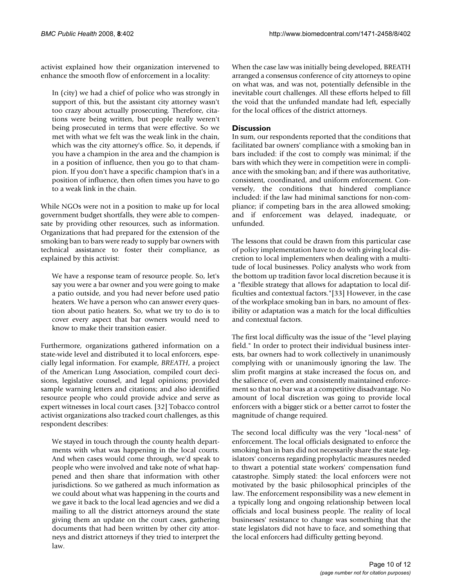activist explained how their organization intervened to enhance the smooth flow of enforcement in a locality:

In (city) we had a chief of police who was strongly in support of this, but the assistant city attorney wasn't too crazy about actually prosecuting. Therefore, citations were being written, but people really weren't being prosecuted in terms that were effective. So we met with what we felt was the weak link in the chain, which was the city attorney's office. So, it depends, if you have a champion in the area and the champion is in a position of influence, then you go to that champion. If you don't have a specific champion that's in a position of influence, then often times you have to go to a weak link in the chain.

While NGOs were not in a position to make up for local government budget shortfalls, they were able to compensate by providing other resources, such as information. Organizations that had prepared for the extension of the smoking ban to bars were ready to supply bar owners with technical assistance to foster their compliance, as explained by this activist:

We have a response team of resource people. So, let's say you were a bar owner and you were going to make a patio outside, and you had never before used patio heaters. We have a person who can answer every question about patio heaters. So, what we try to do is to cover every aspect that bar owners would need to know to make their transition easier.

Furthermore, organizations gathered information on a state-wide level and distributed it to local enforcers, especially legal information. For example, *BREATH*, a project of the American Lung Association, compiled court decisions, legislative counsel, and legal opinions; provided sample warning letters and citations; and also identified resource people who could provide advice and serve as expert witnesses in local court cases. [32] Tobacco control activist organizations also tracked court challenges, as this respondent describes:

We stayed in touch through the county health departments with what was happening in the local courts. And when cases would come through, we'd speak to people who were involved and take note of what happened and then share that information with other jurisdictions. So we gathered as much information as we could about what was happening in the courts and we gave it back to the local lead agencies and we did a mailing to all the district attorneys around the state giving them an update on the court cases, gathering documents that had been written by other city attorneys and district attorneys if they tried to interpret the law.

When the case law was initially being developed, BREATH arranged a consensus conference of city attorneys to opine on what was, and was not, potentially defensible in the inevitable court challenges. All these efforts helped to fill the void that the unfunded mandate had left, especially for the local offices of the district attorneys.

## **Discussion**

In sum, our respondents reported that the conditions that facilitated bar owners' compliance with a smoking ban in bars included: if the cost to comply was minimal; if the bars with which they were in competition were in compliance with the smoking ban; and if there was authoritative, consistent, coordinated, and uniform enforcement. Conversely, the conditions that hindered compliance included: if the law had minimal sanctions for non-compliance; if competing bars in the area allowed smoking; and if enforcement was delayed, inadequate, or unfunded.

The lessons that could be drawn from this particular case of policy implementation have to do with giving local discretion to local implementers when dealing with a multitude of local businesses. Policy analysts who work from the bottom up tradition favor local discretion because it is a "flexible strategy that allows for adaptation to local difficulties and contextual factors."[33] However, in the case of the workplace smoking ban in bars, no amount of flexibility or adaptation was a match for the local difficulties and contextual factors.

The first local difficulty was the issue of the "level playing field." In order to protect their individual business interests, bar owners had to work collectively in unanimously complying with or unanimously ignoring the law. The slim profit margins at stake increased the focus on, and the salience of, even and consistently maintained enforcement so that no bar was at a competitive disadvantage. No amount of local discretion was going to provide local enforcers with a bigger stick or a better carrot to foster the magnitude of change required.

The second local difficulty was the very "local-ness" of enforcement. The local officials designated to enforce the smoking ban in bars did not necessarily share the state legislators' concerns regarding prophylactic measures needed to thwart a potential state workers' compensation fund catastrophe. Simply stated: the local enforcers were not motivated by the basic philosophical principles of the law. The enforcement responsibility was a new element in a typically long and ongoing relationship between local officials and local business people. The reality of local businesses' resistance to change was something that the state legislators did not have to face, and something that the local enforcers had difficulty getting beyond.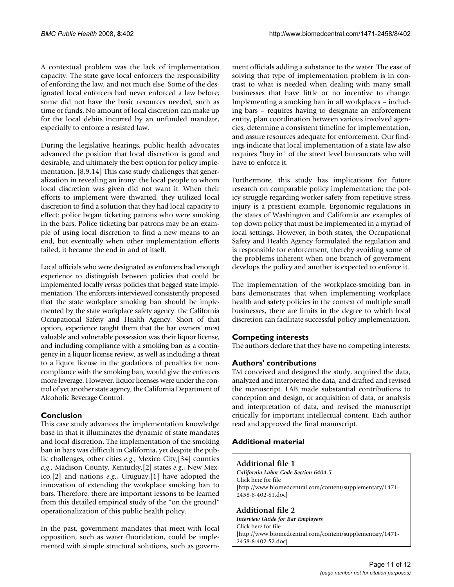A contextual problem was the lack of implementation capacity. The state gave local enforcers the responsibility of enforcing the law, and not much else. Some of the designated local enforcers had never enforced a law before; some did not have the basic resources needed, such as time or funds. No amount of local discretion can make up for the local debits incurred by an unfunded mandate, especially to enforce a resisted law.

During the legislative hearings, public health advocates advanced the position that local discretion is good and desirable, and ultimately the best option for policy implementation. [8,9,14] This case study challenges that generalization in revealing an irony: the local people to whom local discretion was given did not want it. When their efforts to implement were thwarted, they utilized local discretion to find a solution that they had local capacity to effect: police began ticketing patrons who were smoking in the bars. Police ticketing bar patrons may be an example of using local discretion to find a new means to an end, but eventually when other implementation efforts failed, it became the end in and of itself.

Local officials who were designated as enforcers had enough experience to distinguish between policies that could be implemented locally *versus* policies that begged state implementation. The enforcers interviewed consistently proposed that the state workplace smoking ban should be implemented by the state workplace safety agency: the California Occupational Safety and Health Agency. Short of that option, experience taught them that the bar owners' most valuable and vulnerable possession was their liquor license, and including compliance with a smoking ban as a contingency in a liquor license review, as well as including a threat to a liquor license in the gradations of penalties for noncompliance with the smoking ban, would give the enforcers more leverage. However, liquor licenses were under the control of yet another state agency, the California Department of Alcoholic Beverage Control.

## **Conclusion**

This case study advances the implementation knowledge base in that it illuminates the dynamic of state mandates and local discretion. The implementation of the smoking ban in bars was difficult in California, yet despite the public challenges, other cities *e.g*., Mexico City,[34] counties *e.g*., Madison County, Kentucky,[2] states *e.g*., New Mexico,[2] and nations *e.g*., Uruguay,[1] have adopted the innovation of extending the workplace smoking ban to bars. Therefore, there are important lessons to be learned from this detailed empirical study of the "on the ground" operationalization of this public health policy.

In the past, government mandates that meet with local opposition, such as water fluoridation, could be implemented with simple structural solutions, such as government officials adding a substance to the water. The ease of solving that type of implementation problem is in contrast to what is needed when dealing with many small businesses that have little or no incentive to change. Implementing a smoking ban in all workplaces – including bars – requires having to designate an enforcement entity, plan coordination between various involved agencies, determine a consistent timeline for implementation, and assure resources adequate for enforcement. Our findings indicate that local implementation of a state law also requires "buy in" of the street level bureaucrats who will have to enforce it.

Furthermore, this study has implications for future research on comparable policy implementation; the policy struggle regarding worker safety from repetitive stress injury is a prescient example. Ergonomic regulations in the states of Washington and California are examples of top down policy that must be implemented in a myriad of local settings. However, in both states, the Occupational Safety and Health Agency formulated the regulation and is responsible for enforcement, thereby avoiding some of the problems inherent when one branch of government develops the policy and another is expected to enforce it.

The implementation of the workplace-smoking ban in bars demonstrates that when implementing workplace health and safety policies in the context of multiple small businesses, there are limits in the degree to which local discretion can facilitate successful policy implementation.

## **Competing interests**

The authors declare that they have no competing interests.

## **Authors' contributions**

TM conceived and designed the study, acquired the data, analyzed and interpreted the data, and drafted and revised the manuscript. LAB made substantial contributions to conception and design, or acquisition of data, or analysis and interpretation of data, and revised the manuscript critically for important intellectual content. Each author read and approved the final manuscript.

## **Additional material**

**Additional file 1** *California Labor Code Section 6404.5* Click here for file [\[http://www.biomedcentral.com/content/supplementary/1471-](http://www.biomedcentral.com/content/supplementary/1471-2458-8-402-S1.doc) 2458-8-402-S1.doc]

**Additional file 2** *Interview Guide for Bar Employers* Click here for file [\[http://www.biomedcentral.com/content/supplementary/1471-](http://www.biomedcentral.com/content/supplementary/1471-2458-8-402-S2.doc) 2458-8-402-S2.doc]